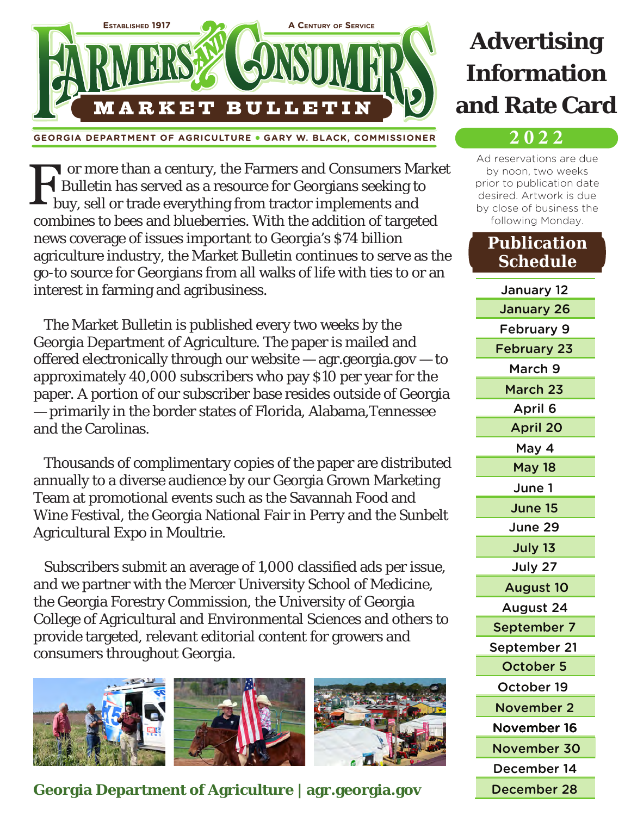

**GEORGIA DEPARTMENT OF AGRICULTURE** ● **GARY W. BLACK, COMMISSIONER**

or more than a century, the Farmers and Consumers Market Bulletin has served as a resource for Georgians seeking to buy, sell or trade everything from tractor implements and combines to bees and blueberries. With the addition of targeted news coverage of issues important to Georgia's \$74 billion agriculture industry, the Market Bulletin continues to serve as the go-to source for Georgians from all walks of life with ties to or an interest in farming and agribusiness.

 The Market Bulletin is published every two weeks by the Georgia Department of Agriculture. The paper is mailed and offered electronically through our website — agr.georgia.gov — to approximately 40,000 subscribers who pay \$10 per year for the paper. A portion of our subscriber base resides outside of Georgia — primarily in the border states of Florida, Alabama,Tennessee and the Carolinas.

 Thousands of complimentary copies of the paper are distributed annually to a diverse audience by our Georgia Grown Marketing Team at promotional events such as the Savannah Food and Wine Festival, the Georgia National Fair in Perry and the Sunbelt Agricultural Expo in Moultrie.

 Subscribers submit an average of 1,000 classified ads per issue, and we partner with the Mercer University School of Medicine, the Georgia Forestry Commission, the University of Georgia College of Agricultural and Environmental Sciences and others to provide targeted, relevant editorial content for growers and consumers throughout Georgia.



**Georgia Department of Agriculture | agr.georgia.gov**

## **Advertising Information and Rate Card**

## **2 0 2 2**

Ad reservations are due by noon, two weeks prior to publication date desired. Artwork is due by close of business the following Monday.

## **Publication Schedule**

January 12 January 26 February 9 February 23 March 9 March 23 April 6 April 20 May 4 May 18 June 1 June 15 June 29 July 13 July 27 August 10 August 24 September 7 September 21 October 5 October 19 November 2 November 16 December 14 December 28 November 30